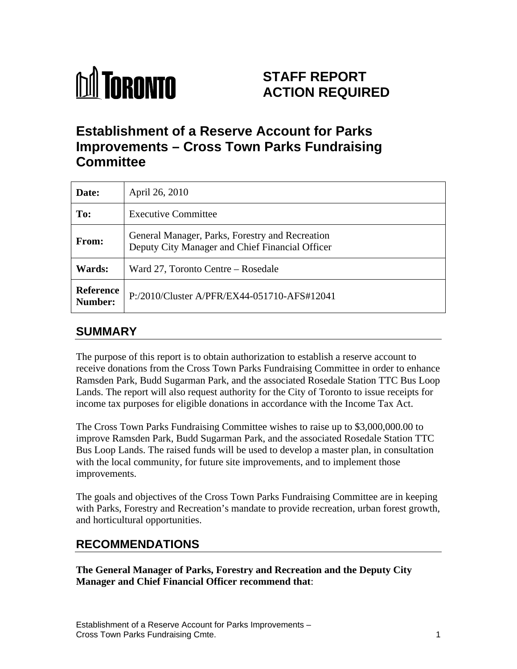

# **STAFF REPORT ACTION REQUIRED**

# **Establishment of a Reserve Account for Parks Improvements – Cross Town Parks Fundraising Committee**

| Date:                              | April 26, 2010                                                                                     |
|------------------------------------|----------------------------------------------------------------------------------------------------|
| To:                                | <b>Executive Committee</b>                                                                         |
| <b>From:</b>                       | General Manager, Parks, Forestry and Recreation<br>Deputy City Manager and Chief Financial Officer |
| <b>Wards:</b>                      | Ward 27, Toronto Centre – Rosedale                                                                 |
| <b>Reference</b><br><b>Number:</b> | P:/2010/Cluster A/PFR/EX44-051710-AFS#12041                                                        |

## **SUMMARY**

The purpose of this report is to obtain authorization to establish a reserve account to receive donations from the Cross Town Parks Fundraising Committee in order to enhance Ramsden Park, Budd Sugarman Park, and the associated Rosedale Station TTC Bus Loop Lands. The report will also request authority for the City of Toronto to issue receipts for income tax purposes for eligible donations in accordance with the Income Tax Act.

The Cross Town Parks Fundraising Committee wishes to raise up to \$3,000,000.00 to improve Ramsden Park, Budd Sugarman Park, and the associated Rosedale Station TTC Bus Loop Lands. The raised funds will be used to develop a master plan, in consultation with the local community, for future site improvements, and to implement those improvements.

The goals and objectives of the Cross Town Parks Fundraising Committee are in keeping with Parks, Forestry and Recreation's mandate to provide recreation, urban forest growth, and horticultural opportunities.

## **RECOMMENDATIONS**

**The General Manager of Parks, Forestry and Recreation and the Deputy City Manager and Chief Financial Officer recommend that**: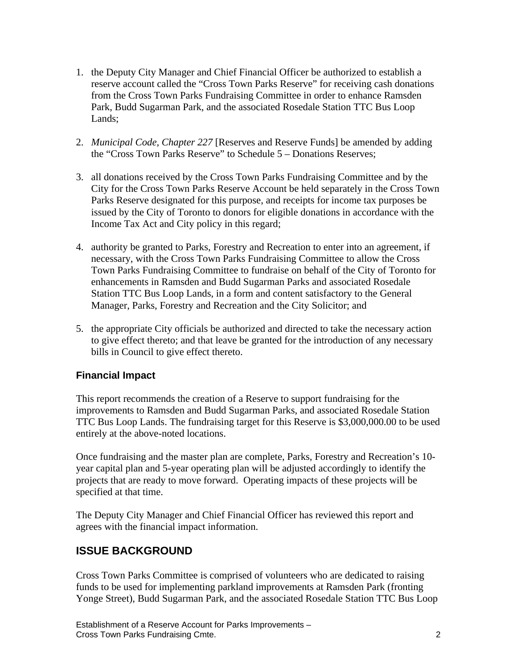- 1. the Deputy City Manager and Chief Financial Officer be authorized to establish a reserve account called the "Cross Town Parks Reserve" for receiving cash donations from the Cross Town Parks Fundraising Committee in order to enhance Ramsden Park, Budd Sugarman Park, and the associated Rosedale Station TTC Bus Loop Lands;
- 2. *Municipal Code, Chapter 227* [Reserves and Reserve Funds] be amended by adding the "Cross Town Parks Reserve" to Schedule 5 – Donations Reserves;
- 3. all donations received by the Cross Town Parks Fundraising Committee and by the City for the Cross Town Parks Reserve Account be held separately in the Cross Town Parks Reserve designated for this purpose, and receipts for income tax purposes be issued by the City of Toronto to donors for eligible donations in accordance with the Income Tax Act and City policy in this regard;
- 4. authority be granted to Parks, Forestry and Recreation to enter into an agreement, if necessary, with the Cross Town Parks Fundraising Committee to allow the Cross Town Parks Fundraising Committee to fundraise on behalf of the City of Toronto for enhancements in Ramsden and Budd Sugarman Parks and associated Rosedale Station TTC Bus Loop Lands, in a form and content satisfactory to the General Manager, Parks, Forestry and Recreation and the City Solicitor; and
- 5. the appropriate City officials be authorized and directed to take the necessary action to give effect thereto; and that leave be granted for the introduction of any necessary bills in Council to give effect thereto.

#### **Financial Impact**

This report recommends the creation of a Reserve to support fundraising for the improvements to Ramsden and Budd Sugarman Parks, and associated Rosedale Station TTC Bus Loop Lands. The fundraising target for this Reserve is \$3,000,000.00 to be used entirely at the above-noted locations.<br>Once fundraising and the master plan are complete, Parks, Forestry and Recreation's 10-

year capital plan and 5-year operating plan will be adjusted accordingly to identify the projects that are ready to move forward. Operating impacts of these projects will be specified at that time.<br>The Deputy City Manager and Chief Financial Officer has reviewed this report and

agrees with the financial impact information.

### **ISSUE BACKGROUND**

Cross Town Parks Committee is comprised of volunteers who are dedicated to raising funds to be used for implementing parkland improvements at Ramsden Park (fronting Yonge Street), Budd Sugarman Park, and the associated Rosedale Station TTC Bus Loop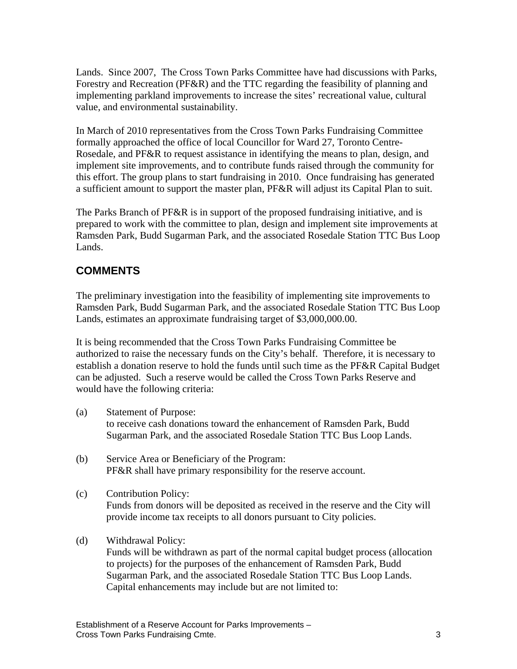Lands. Since 2007, The Cross Town Parks Committee have had discussions with Parks, Forestry and Recreation (PF&R) and the TTC regarding the feasibility of planning and implementing parkland improvements to increase the sites' recreational value, cultural value, and environmental sustainability.

In March of 2010 representatives from the Cross Town Parks Fundraising Committee formally approached the office of local Councillor for Ward 27, Toronto Centre- Rosedale, and PF&R to request assistance in identifying the means to plan, design, and implement site improvements, and to contribute funds raised through the community for this effort. The group plans to start fundraising in 2010. Once fundraising has generated a sufficient amount to support the master plan, PF&R will adjust its Capital Plan to suit.

The Parks Branch of PF&R is in support of the proposed fundraising initiative, and is prepared to work with the committee to plan, design and implement site improvements at Ramsden Park, Budd Sugarman Park, and the associated Rosedale Station TTC Bus Loop Lands.

## **COMMENTS**

The preliminary investigation into the feasibility of implementing site improvements to Ramsden Park, Budd Sugarman Park, and the associated Rosedale Station TTC Bus Loop Lands, estimates an approximate fundraising target of \$3,000,000.00.

It is being recommended that the Cross Town Parks Fundraising Committee be authorized to raise the necessary funds on the City's behalf. Therefore, it is necessary to establish a donation reserve to hold the funds until such time as the PF&R Capital Budget can be adjusted. Such a reserve would be called the Cross Town Parks Reserve and would have the following criteria:

- (a) Statement of Purpose: to receive cash donations toward the enhancement of Ramsden Park, Budd Sugarman Park, and the associated Rosedale Station TTC Bus Loop Lands.
- (b) Service Area or Beneficiary of the Program: PF&R shall have primary responsibility for the reserve account.
- (c) Contribution Policy: Funds from donors will be deposited as received in the reserve and the City will provide income tax receipts to all donors pursuant to City policies.
- (d) Withdrawal Policy:

Funds will be withdrawn as part of the normal capital budget process (allocation to projects) for the purposes of the enhancement of Ramsden Park, Budd Sugarman Park, and the associated Rosedale Station TTC Bus Loop Lands. Capital enhancements may include but are not limited to: